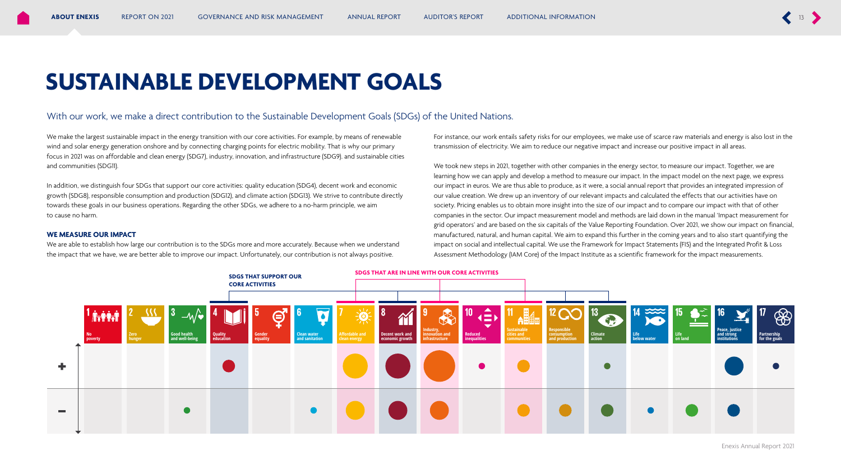## **SUSTAINABLE DEVELOPMENT GOALS**

## With our work, we make a direct contribution to the Sustainable Development Goals (SDGs) of the United Nations.

We make the largest sustainable impact in the energy transition with our core activities. For example, by means of renewable wind and solar energy generation onshore and by connecting charging points for electric mobility. That is why our primary focus in 2021 was on affordable and clean energy (SDG7), industry, innovation, and infrastructure (SDG9). and sustainable cities and communities (SDG11).

In addition, we distinguish four SDGs that support our core activities: quality education (SDG4), decent work and economic growth (SDG8), responsible consumption and production (SDG12), and climate action (SDG13). We strive to contribute directly towards these goals in our business operations. Regarding the other SDGs, we adhere to a no-harm principle, we aim to cause no harm.

## **WE MEASURE OUR IMPACT**

We are able to establish how large our contribution is to the SDGs more and more accurately. Because when we understand the impact that we have, we are better able to improve our impact. Unfortunately, our contribution is not always positive.

For instance, our work entails safety risks for our employees, we make use of scarce raw materials and energy is also lost in the transmission of electricity. We aim to reduce our negative impact and increase our positive impact in all areas.

We took new steps in 2021, together with other companies in the energy sector, to measure our impact. Together, we are learning how we can apply and develop a method to measure our impact. In the impact model on the next page, we express our impact in euros. We are thus able to produce, as it were, a social annual report that provides an integrated impression of our value creation. We drew up an inventory of our relevant impacts and calculated the effects that our activities have on society. Pricing enables us to obtain more insight into the size of our impact and to compare our impact with that of other companies in the sector. Our impact measurement model and methods are laid down in the manual 'Impact measurement for grid operators' and are based on the six capitals of the Value Reporting Foundation. Over 2021, we show our impact on financial, manufactured, natural, and human capital. We aim to expand this further in the coming years and to also start quantifying the impact on social and intellectual capital. We use the Framework for Impact Statements (FIS) and the Integrated Profit & Loss Assessment Methodology (IAM Core) of the Impact Institute as a scientific framework for the impact measurements.